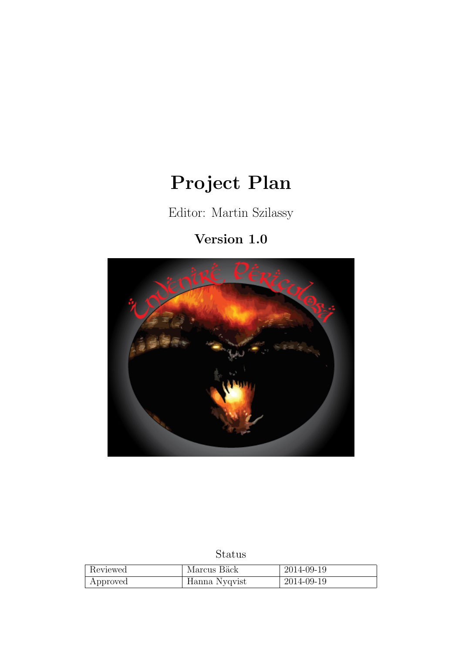# Project Plan

Editor: Martin Szilassy

# Version 1.0



# Status

| Reviewed | Marcus Bäck   | 2014-09-19 |
|----------|---------------|------------|
| Approved | Hanna Nyqvist | 2014-09-19 |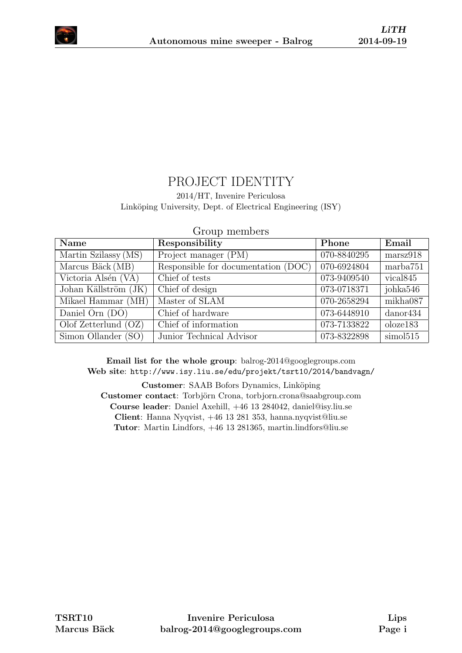

# PROJECT IDENTITY

2014/HT, Invenire Periculosa

Linköping University, Dept. of Electrical Engineering (ISY)

| Name                   | Responsibility                      | Phone       | Email                |
|------------------------|-------------------------------------|-------------|----------------------|
| Martin Szilassy (MS)   | Project manager (PM)                | 070-8840295 | marsz918             |
| Marcus Bäck (MB)       | Responsible for documentation (DOC) | 070-6924804 | marba751             |
| Victoria Alsén (VA)    | Chief of tests                      | 073-9409540 | vical <sub>845</sub> |
| Johan Källström (JK)   | Chief of design                     | 073-0718371 | johka546             |
| Mikael Hammar (MH)     | Master of SLAM                      | 070-2658294 | mikha087             |
| Daniel Orn $(DO)$      | Chief of hardware                   | 073-6448910 | $d$ anor $434$       |
| Olof Zetterlund $(OZ)$ | Chief of information                | 073-7133822 | oloze183             |
| Simon Ollander (SO)    | Junior Technical Advisor            | 073-8322898 | simol515             |

Group members

Email list for the whole group: balrog-2014@googlegroups.com Web site: <http://www.isy.liu.se/edu/projekt/tsrt10/2014/bandvagn/>

Customer: SAAB Bofors Dynamics, Linköping Customer contact: Torbjörn Crona, torbjorn.crona@saabgroup.com Course leader: Daniel Axehill, +46 13 284042, daniel@isy.liu.se Client: Hanna Nyqvist, +46 13 281 353, hanna.nyqvist@liu.se Tutor: Martin Lindfors, +46 13 281365, martin.lindfors@liu.se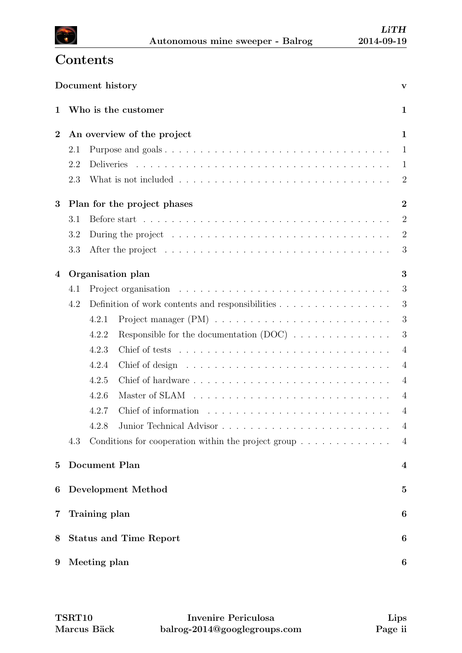

# <span id="page-2-0"></span>**Contents**

|                  |                               | Document history |                                                                                                    | $\mathbf{V}$     |
|------------------|-------------------------------|------------------|----------------------------------------------------------------------------------------------------|------------------|
| 1                |                               |                  | Who is the customer                                                                                | $\mathbf{1}$     |
| $\boldsymbol{2}$ |                               |                  | An overview of the project                                                                         | $\mathbf{1}$     |
|                  | 2.1                           |                  |                                                                                                    | 1                |
|                  | 2.2                           |                  |                                                                                                    | 1                |
|                  | 2.3                           |                  |                                                                                                    | $\overline{2}$   |
| 3                |                               |                  | Plan for the project phases                                                                        | $\overline{2}$   |
|                  | 3.1                           |                  |                                                                                                    | $\overline{2}$   |
|                  | 3.2                           |                  | During the project $\dots \dots \dots \dots \dots \dots \dots \dots \dots \dots \dots \dots \dots$ | $\overline{2}$   |
|                  | 3.3                           |                  |                                                                                                    | 3                |
| 4                |                               |                  | Organisation plan                                                                                  | 3                |
|                  | 4.1                           |                  |                                                                                                    | 3                |
|                  | 4.2                           |                  | Definition of work contents and responsibilities                                                   | 3                |
|                  |                               | 4.2.1            |                                                                                                    | 3                |
|                  |                               | 4.2.2            | Responsible for the documentation $(DOC)$                                                          | 3                |
|                  |                               | 4.2.3            |                                                                                                    | $\overline{4}$   |
|                  |                               | 4.2.4            |                                                                                                    | $\overline{4}$   |
|                  |                               | 4.2.5            |                                                                                                    | $\overline{4}$   |
|                  |                               | 4.2.6            |                                                                                                    | $\overline{4}$   |
|                  |                               | 4.2.7            |                                                                                                    | $\overline{4}$   |
|                  |                               | 428              |                                                                                                    | $\overline{4}$   |
|                  | 4.3                           |                  | Conditions for cooperation within the project group $\dots \dots \dots \dots$                      | $\overline{4}$   |
| $\bf{5}$         |                               | Document Plan    |                                                                                                    | $\boldsymbol{4}$ |
| 6                | <b>Development Method</b>     |                  | $\mathbf{5}$                                                                                       |                  |
| 7                |                               | Training plan    |                                                                                                    | 6                |
| 8                | <b>Status and Time Report</b> |                  | 6                                                                                                  |                  |
| $9\phantom{.0}$  |                               | Meeting plan     |                                                                                                    | 6                |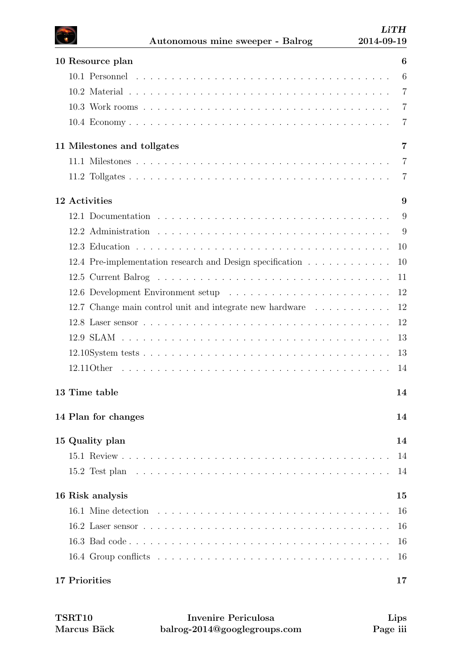| 10 Resource plan                                          | 6              |
|-----------------------------------------------------------|----------------|
|                                                           | 6              |
|                                                           | $\overline{7}$ |
|                                                           | $\overline{7}$ |
|                                                           | 7              |
| 11 Milestones and tollgates                               | $\overline{7}$ |
|                                                           | $\overline{7}$ |
|                                                           | 7              |
| 12 Activities                                             | 9              |
|                                                           | 9              |
|                                                           | -9             |
|                                                           | 10             |
| 12.4 Pre-implementation research and Design specification | 10             |
|                                                           |                |
|                                                           | 12             |
| 12.7 Change main control unit and integrate new hardware  | 12             |
|                                                           | 12             |
|                                                           | 13             |
|                                                           | 13             |
|                                                           | 14             |
| 13 Time table                                             | 14             |
| 14 Plan for changes                                       | 14             |
| 15 Quality plan                                           | 14             |
|                                                           | 14             |
|                                                           | 14             |
| 16 Risk analysis                                          | 15             |
|                                                           | 16             |
|                                                           | 16             |
|                                                           | 16             |
|                                                           | 16             |
| 17 Priorities                                             | 17             |

| <b>TSRT10</b> | Invenire Periculosa          | Lips     |
|---------------|------------------------------|----------|
| Marcus Bäck   | balrog-2014@googlegroups.com | Page iii |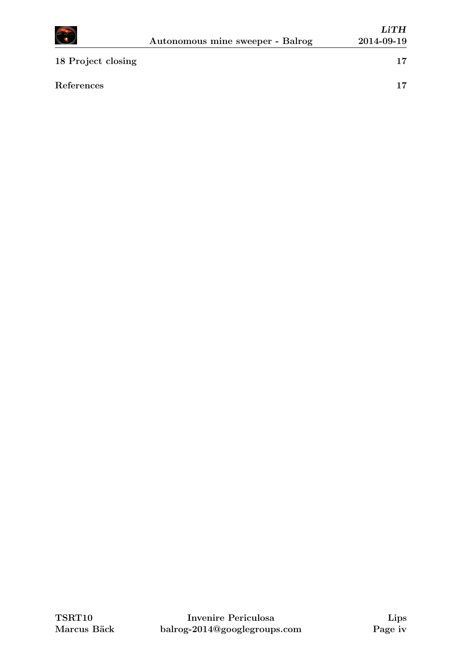

| References |  |
|------------|--|
|            |  |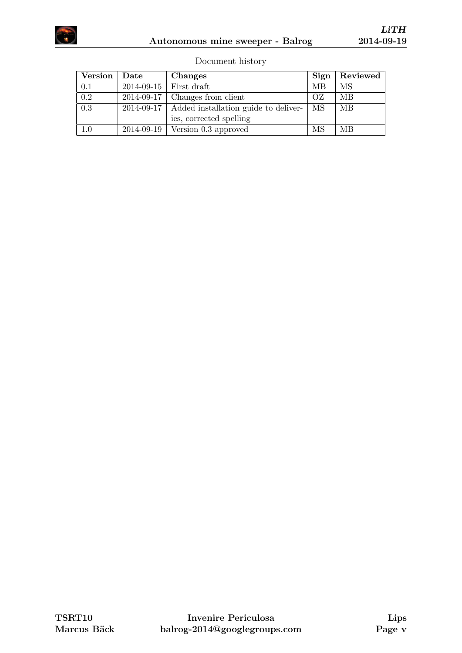

| Document history |  |
|------------------|--|
|                  |  |

| Version | $\rm{\textbf{Date}}$ | <b>Changes</b>                       | Sign | Reviewed |
|---------|----------------------|--------------------------------------|------|----------|
| 0.1     |                      | $2014-09-15$ First draft             | МB   | MS       |
| 0.2     |                      | $2014-09-17$ Changes from client     | OZ   | MВ       |
| 0.3     | $2014 - 09 - 17$     | Added installation guide to deliver- | MS   | MВ       |
|         |                      | ies, corrected spelling              |      |          |
| 1.0     |                      | $2014-09-19$ Version 0.3 approved    | MS   | MВ       |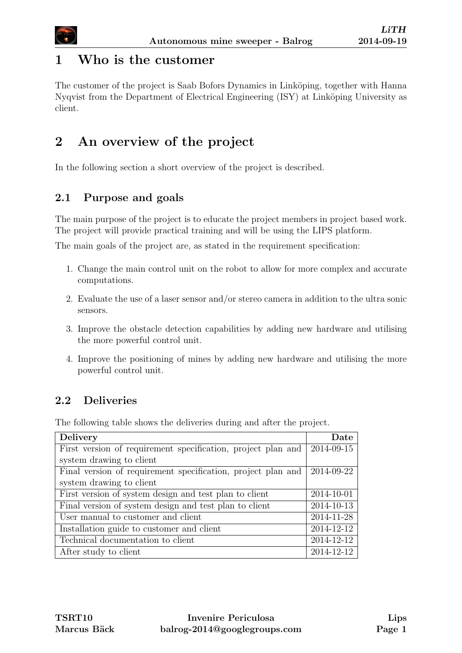

### <span id="page-6-0"></span>1 Who is the customer

The customer of the project is Saab Bofors Dynamics in Linköping, together with Hanna Nyqvist from the Department of Electrical Engineering (ISY) at Linköping University as client.

# <span id="page-6-1"></span>2 An overview of the project

In the following section a short overview of the project is described.

### <span id="page-6-2"></span>2.1 Purpose and goals

The main purpose of the project is to educate the project members in project based work. The project will provide practical training and will be using the LIPS platform.

The main goals of the project are, as stated in the requirement specification:

- 1. Change the main control unit on the robot to allow for more complex and accurate computations.
- 2. Evaluate the use of a laser sensor and/or stereo camera in addition to the ultra sonic sensors.
- 3. Improve the obstacle detection capabilities by adding new hardware and utilising the more powerful control unit.
- 4. Improve the positioning of mines by adding new hardware and utilising the more powerful control unit.

### <span id="page-6-3"></span>2.2 Deliveries

The following table shows the deliveries during and after the project.

| <b>Delivery</b>                                              | $\rm{\textbf{Date}}$ |
|--------------------------------------------------------------|----------------------|
| First version of requirement specification, project plan and | 2014-09-15           |
| system drawing to client                                     |                      |
| Final version of requirement specification, project plan and | 2014-09-22           |
| system drawing to client                                     |                      |
| First version of system design and test plan to client       | 2014-10-01           |
| Final version of system design and test plan to client       | 2014-10-13           |
| User manual to customer and client                           | 2014-11-28           |
| Installation guide to customer and client                    | 2014-12-12           |
| Technical documentation to client                            | 2014-12-12           |
| After study to client                                        | 2014-12-12           |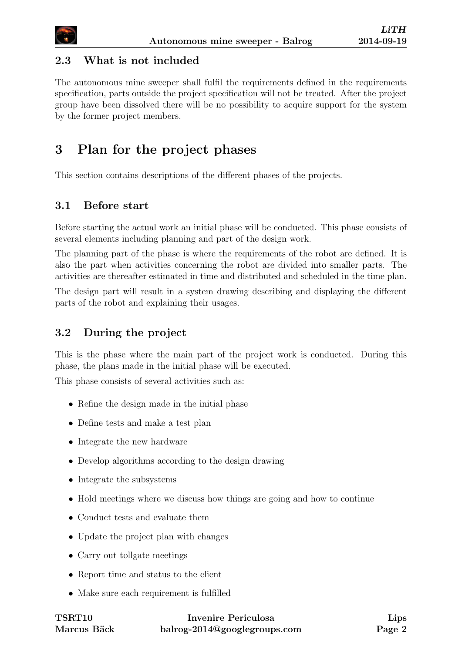

#### <span id="page-7-0"></span>2.3 What is not included

The autonomous mine sweeper shall fulfil the requirements defined in the requirements specification, parts outside the project specification will not be treated. After the project group have been dissolved there will be no possibility to acquire support for the system by the former project members.

# <span id="page-7-1"></span>3 Plan for the project phases

This section contains descriptions of the different phases of the projects.

#### <span id="page-7-2"></span>3.1 Before start

Before starting the actual work an initial phase will be conducted. This phase consists of several elements including planning and part of the design work.

The planning part of the phase is where the requirements of the robot are defined. It is also the part when activities concerning the robot are divided into smaller parts. The activities are thereafter estimated in time and distributed and scheduled in the time plan.

The design part will result in a system drawing describing and displaying the different parts of the robot and explaining their usages.

#### <span id="page-7-3"></span>3.2 During the project

This is the phase where the main part of the project work is conducted. During this phase, the plans made in the initial phase will be executed.

This phase consists of several activities such as:

- Refine the design made in the initial phase
- Define tests and make a test plan
- Integrate the new hardware
- Develop algorithms according to the design drawing
- Integrate the subsystems
- Hold meetings where we discuss how things are going and how to continue
- Conduct tests and evaluate them
- Update the project plan with changes
- Carry out tollgate meetings
- Report time and status to the client
- Make sure each requirement is fulfilled

| $\operatorname{TSRT10}$ | Invenire Periculosa          |
|-------------------------|------------------------------|
| Marcus Bäck             | balrog-2014@googlegroups.com |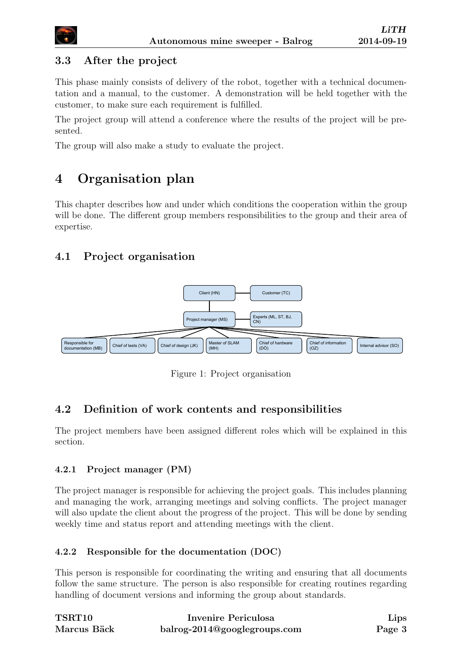

### <span id="page-8-0"></span>3.3 After the project

This phase mainly consists of delivery of the robot, together with a technical documentation and a manual, to the customer. A demonstration will be held together with the customer, to make sure each requirement is fulfilled.

The project group will attend a conference where the results of the project will be presented.

The group will also make a study to evaluate the project.

# <span id="page-8-1"></span>4 Organisation plan

This chapter describes how and under which conditions the cooperation within the group will be done. The different group members responsibilities to the group and their area of expertise.

### <span id="page-8-2"></span>4.1 Project organisation



Figure 1: Project organisation

### <span id="page-8-3"></span>4.2 Definition of work contents and responsibilities

The project members have been assigned different roles which will be explained in this section.

#### <span id="page-8-4"></span>4.2.1 Project manager (PM)

The project manager is responsible for achieving the project goals. This includes planning and managing the work, arranging meetings and solving conflicts. The project manager will also update the client about the progress of the project. This will be done by sending weekly time and status report and attending meetings with the client.

#### <span id="page-8-5"></span>4.2.2 Responsible for the documentation (DOC)

This person is responsible for coordinating the writing and ensuring that all documents follow the same structure. The person is also responsible for creating routines regarding handling of document versions and informing the group about standards.

| <b>TSRT10</b> | Invenire Periculosa          | Lips   |
|---------------|------------------------------|--------|
| Marcus Bäck   | balrog-2014@googlegroups.com | Page 3 |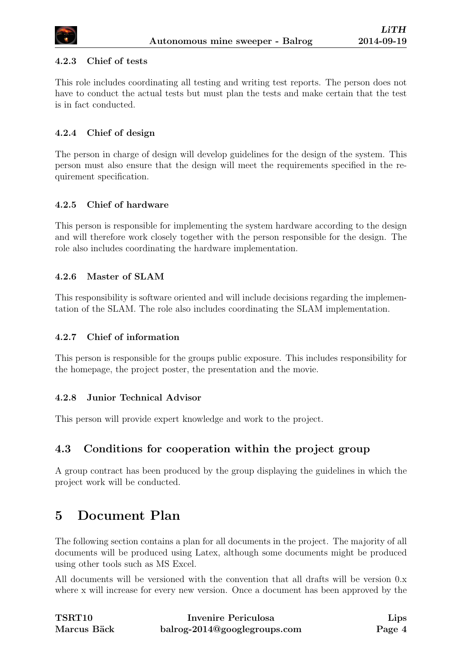

#### <span id="page-9-0"></span>4.2.3 Chief of tests

This role includes coordinating all testing and writing test reports. The person does not have to conduct the actual tests but must plan the tests and make certain that the test is in fact conducted.

#### <span id="page-9-1"></span>4.2.4 Chief of design

The person in charge of design will develop guidelines for the design of the system. This person must also ensure that the design will meet the requirements specified in the requirement specification.

#### <span id="page-9-2"></span>4.2.5 Chief of hardware

This person is responsible for implementing the system hardware according to the design and will therefore work closely together with the person responsible for the design. The role also includes coordinating the hardware implementation.

#### <span id="page-9-3"></span>4.2.6 Master of SLAM

This responsibility is software oriented and will include decisions regarding the implementation of the SLAM. The role also includes coordinating the SLAM implementation.

#### <span id="page-9-4"></span>4.2.7 Chief of information

This person is responsible for the groups public exposure. This includes responsibility for the homepage, the project poster, the presentation and the movie.

#### <span id="page-9-5"></span>4.2.8 Junior Technical Advisor

This person will provide expert knowledge and work to the project.

#### <span id="page-9-6"></span>4.3 Conditions for cooperation within the project group

A group contract has been produced by the group displaying the guidelines in which the project work will be conducted.

# <span id="page-9-7"></span>5 Document Plan

The following section contains a plan for all documents in the project. The majority of all documents will be produced using Latex, although some documents might be produced using other tools such as MS Excel.

All documents will be versioned with the convention that all drafts will be version 0.x where x will increase for every new version. Once a document has been approved by the

| <b>TSRT10</b> | Invenire Periculosa          | Lips   |
|---------------|------------------------------|--------|
| Marcus Bäck   | balrog-2014@googlegroups.com | Page 4 |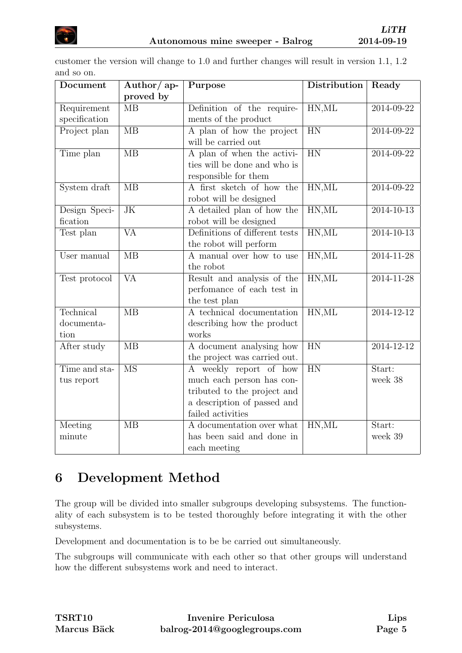

customer the version will change to 1.0 and further changes will result in version 1.1, 1.2 and so on.

| Document      | Author/ap-             | Purpose                        | Distribution    | Ready            |
|---------------|------------------------|--------------------------------|-----------------|------------------|
|               | proved by              |                                |                 |                  |
| Requirement   | $\overline{MB}$        | Definition of the require-     | HN, ML          | 2014-09-22       |
| specification |                        | ments of the product           |                 |                  |
| Project plan  | $\overline{MB}$        | A plan of how the project      | $\overline{HN}$ | 2014-09-22       |
|               |                        | will be carried out            |                 |                  |
| Time plan     | $\overline{MB}$        | A plan of when the activi-     | $\overline{HN}$ | 2014-09-22       |
|               |                        | ties will be done and who is   |                 |                  |
|               |                        | responsible for them           |                 |                  |
| System draft  | $\overline{MB}$        | A first sketch of how the      | HN, ML          | 2014-09-22       |
|               |                        | robot will be designed         |                 |                  |
| Design Speci- | $\overline{\text{JK}}$ | A detailed plan of how the     | HN, ML          | $2014 - 10 - 13$ |
| fication      |                        | robot will be designed         |                 |                  |
| Test plan     | $\overline{\text{VA}}$ | Definitions of different tests | HN, ML          | $2014 - 10 - 13$ |
|               |                        | the robot will perform         |                 |                  |
| User manual   | $\overline{MB}$        | A manual over how to use       | HN, ML          | $2014 - 11 - 28$ |
|               |                        | the robot                      |                 |                  |
| Test protocol | $\overline{\text{VA}}$ | Result and analysis of the     | HN, ML          | $2014 - 11 - 28$ |
|               |                        | perfomance of each test in     |                 |                  |
|               |                        | the test plan                  |                 |                  |
| Technical     | $\overline{MB}$        | A technical documentation      | HN, ML          | $2014 - 12 - 12$ |
| documenta-    |                        | describing how the product     |                 |                  |
| tion          |                        | works                          |                 |                  |
| After study   | $\overline{MB}$        | A document analysing how       | $\overline{HN}$ | 2014-12-12       |
|               |                        | the project was carried out.   |                 |                  |
| Time and sta- | $\overline{\text{MS}}$ | A weekly report of how         | HN              | Start:           |
| tus report    |                        | much each person has con-      |                 | week 38          |
|               |                        | tributed to the project and    |                 |                  |
|               |                        | a description of passed and    |                 |                  |
|               |                        | failed activities              |                 |                  |
| Meeting       | MB                     | A documentation over what      | HN, ML          | Start:           |
| minute        |                        | has been said and done in      |                 | week 39          |
|               |                        | each meeting                   |                 |                  |

# <span id="page-10-0"></span>6 Development Method

The group will be divided into smaller subgroups developing subsystems. The functionality of each subsystem is to be tested thoroughly before integrating it with the other subsystems.

Development and documentation is to be be carried out simultaneously.

The subgroups will communicate with each other so that other groups will understand how the different subsystems work and need to interact.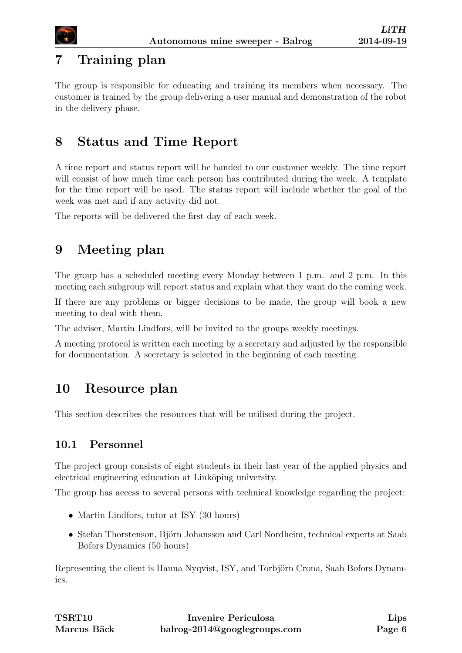

# <span id="page-11-0"></span>7 Training plan

The group is responsible for educating and training its members when necessary. The customer is trained by the group delivering a user manual and demonstration of the robot in the delivery phase.

# <span id="page-11-1"></span>8 Status and Time Report

A time report and status report will be handed to our customer weekly. The time report will consist of how much time each person has contributed during the week. A template for the time report will be used. The status report will include whether the goal of the week was met and if any activity did not.

The reports will be delivered the first day of each week.

# <span id="page-11-2"></span>9 Meeting plan

The group has a scheduled meeting every Monday between 1 p.m. and 2 p.m. In this meeting each subgroup will report status and explain what they want do the coming week.

If there are any problems or bigger decisions to be made, the group will book a new meeting to deal with them.

The adviser, Martin Lindfors, will be invited to the groups weekly meetings.

A meeting protocol is written each meeting by a secretary and adjusted by the responsible for documentation. A secretary is selected in the beginning of each meeting.

# <span id="page-11-3"></span>10 Resource plan

This section describes the resources that will be utilised during the project.

### <span id="page-11-4"></span>10.1 Personnel

The project group consists of eight students in their last year of the applied physics and electrical engineering education at Linköping university.

The group has access to several persons with technical knowledge regarding the project:

- Martin Lindfors, tutor at ISY (30 hours)
- Stefan Thorstenson, Björn Johansson and Carl Nordheim, technical experts at Saab Bofors Dynamics (50 hours)

Representing the client is Hanna Nyqvist, ISY, and Torbjörn Crona, Saab Bofors Dynamics.

| <b>TSRT10</b> | Invenire Periculosa          | <b>Lips</b> |
|---------------|------------------------------|-------------|
| Marcus Bäck   | balrog-2014@googlegroups.com | Page 6      |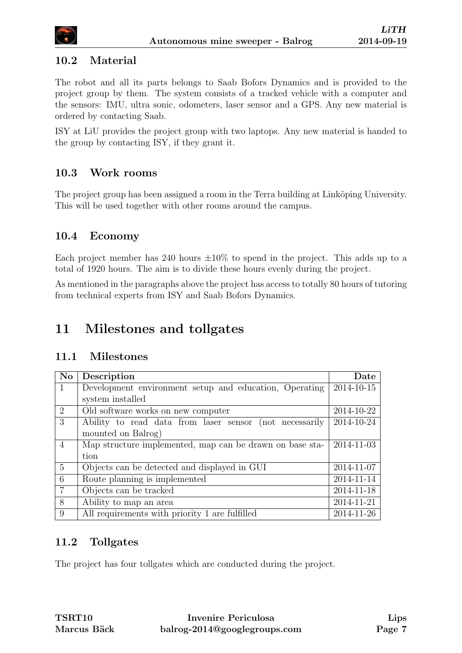

#### <span id="page-12-0"></span>10.2 Material

The robot and all its parts belongs to Saab Bofors Dynamics and is provided to the project group by them. The system consists of a tracked vehicle with a computer and the sensors: IMU, ultra sonic, odometers, laser sensor and a GPS. Any new material is ordered by contacting Saab.

ISY at LiU provides the project group with two laptops. Any new material is handed to the group by contacting ISY, if they grant it.

#### <span id="page-12-1"></span>10.3 Work rooms

The project group has been assigned a room in the Terra building at Linköping University. This will be used together with other rooms around the campus.

#### <span id="page-12-2"></span>10.4 Economy

Each project member has 240 hours  $\pm 10\%$  to spend in the project. This adds up to a total of 1920 hours. The aim is to divide these hours evenly during the project.

As mentioned in the paragraphs above the project has access to totally 80 hours of tutoring from technical experts from ISY and Saab Bofors Dynamics.

### <span id="page-12-3"></span>11 Milestones and tollgates

#### <span id="page-12-4"></span>11.1 Milestones

| <b>No</b>      | Description                                              | Date       |
|----------------|----------------------------------------------------------|------------|
|                | Development environment setup and education, Operating   | 2014-10-15 |
|                | system installed                                         |            |
| 2              | Old software works on new computer                       | 2014-10-22 |
| 3              | Ability to read data from laser sensor (not necessarily  | 2014-10-24 |
|                | mounted on Balrog)                                       |            |
| $\overline{4}$ | Map structure implemented, map can be drawn on base sta- | 2014-11-03 |
|                | tion                                                     |            |
| $\overline{5}$ | Objects can be detected and displayed in GUI             | 2014-11-07 |
| 6              | Route planning is implemented                            | 2014-11-14 |
| $\overline{7}$ | Objects can be tracked                                   | 2014-11-18 |
| 8              | Ability to map an area                                   | 2014-11-21 |
| 9              | All requirements with priority 1 are fulfilled           | 2014-11-26 |

#### <span id="page-12-5"></span>11.2 Tollgates

The project has four tollgates which are conducted during the project.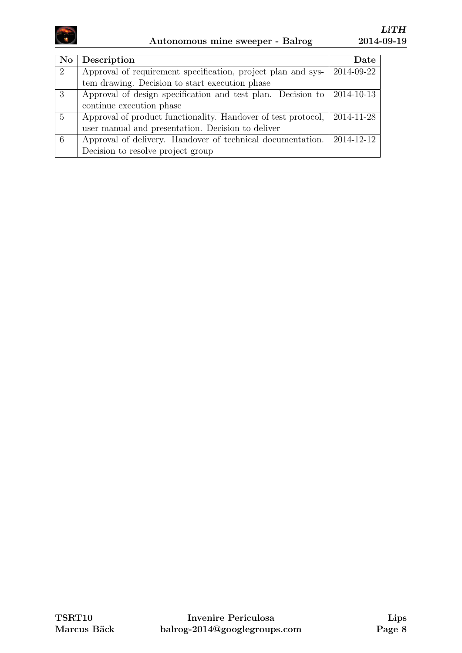

| N <sub>o</sub>              | Description                                                   | Date       |
|-----------------------------|---------------------------------------------------------------|------------|
| $\mathcal{D}_{\mathcal{L}}$ | Approval of requirement specification, project plan and sys-  | 2014-09-22 |
|                             | tem drawing. Decision to start execution phase                |            |
| 3                           | Approval of design specification and test plan. Decision to   | 2014-10-13 |
|                             | continue execution phase                                      |            |
| $\overline{5}$              | Approval of product functionality. Handover of test protocol, | 2014-11-28 |
|                             | user manual and presentation. Decision to deliver             |            |
| -6                          | Approval of delivery. Handover of technical documentation.    | 2014-12-12 |
|                             | Decision to resolve project group                             |            |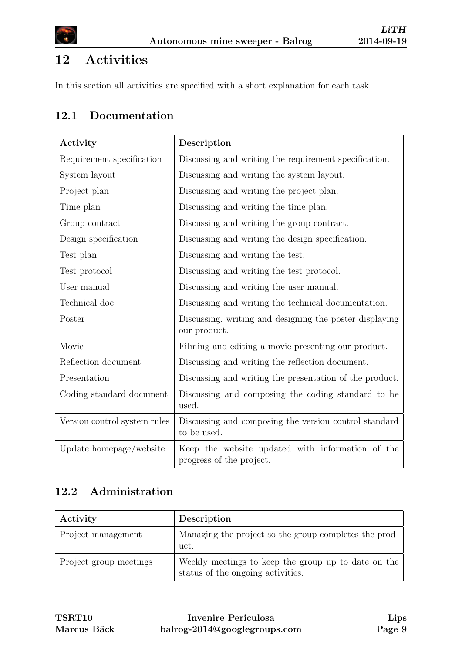

# <span id="page-14-0"></span>12 Activities

In this section all activities are specified with a short explanation for each task.

### <span id="page-14-1"></span>12.1 Documentation

| Activity                     | Description                                                                  |
|------------------------------|------------------------------------------------------------------------------|
| Requirement specification    | Discussing and writing the requirement specification.                        |
| System layout                | Discussing and writing the system layout.                                    |
| Project plan                 | Discussing and writing the project plan.                                     |
| Time plan                    | Discussing and writing the time plan.                                        |
| Group contract               | Discussing and writing the group contract.                                   |
| Design specification         | Discussing and writing the design specification.                             |
| Test plan                    | Discussing and writing the test.                                             |
| Test protocol                | Discussing and writing the test protocol.                                    |
| User manual                  | Discussing and writing the user manual.                                      |
| Technical doc                | Discussing and writing the technical documentation.                          |
| Poster                       | Discussing, writing and designing the poster displaying<br>our product.      |
| Movie                        | Filming and editing a movie presenting our product.                          |
| Reflection document          | Discussing and writing the reflection document.                              |
| Presentation                 | Discussing and writing the presentation of the product.                      |
| Coding standard document     | Discussing and composing the coding standard to be<br>used.                  |
| Version control system rules | Discussing and composing the version control standard<br>to be used.         |
| Update homepage/website      | Keep the website updated with information of the<br>progress of the project. |

### <span id="page-14-2"></span>12.2 Administration

| Activity               | Description                                                                              |
|------------------------|------------------------------------------------------------------------------------------|
| Project management     | Managing the project so the group completes the prod-<br>uct.                            |
| Project group meetings | Weekly meetings to keep the group up to date on the<br>status of the ongoing activities. |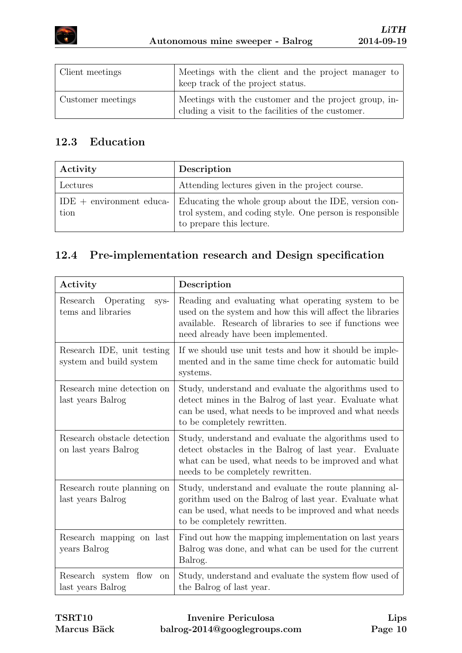

| Client meetings   | Meetings with the client and the project manager to<br>keep track of the project status.                    |
|-------------------|-------------------------------------------------------------------------------------------------------------|
| Customer meetings | Meetings with the customer and the project group, in-<br>cluding a visit to the facilities of the customer. |

### <span id="page-15-0"></span>12.3 Education

| Activity                           | Description                                                                                                                                   |
|------------------------------------|-----------------------------------------------------------------------------------------------------------------------------------------------|
| Lectures                           | Attending lectures given in the project course.                                                                                               |
| $IDE + environment$ educa-<br>tion | Educating the whole group about the IDE, version con-<br>trol system, and coding style. One person is responsible<br>to prepare this lecture. |

# <span id="page-15-1"></span>12.4 Pre-implementation research and Design specification

| Activity                                              | Description                                                                                                                                                                                                        |
|-------------------------------------------------------|--------------------------------------------------------------------------------------------------------------------------------------------------------------------------------------------------------------------|
| Research<br>Operating<br>sys-<br>tems and libraries   | Reading and evaluating what operating system to be<br>used on the system and how this will affect the libraries<br>available. Research of libraries to see if functions wee<br>need already have been implemented. |
| Research IDE, unit testing<br>system and build system | If we should use unit tests and how it should be imple-<br>mented and in the same time check for automatic build<br>systems.                                                                                       |
| Research mine detection on<br>last years Balrog       | Study, understand and evaluate the algorithms used to<br>detect mines in the Balrog of last year. Evaluate what<br>can be used, what needs to be improved and what needs<br>to be completely rewritten.            |
| Research obstacle detection<br>on last years Balrog   | Study, understand and evaluate the algorithms used to<br>detect obstacles in the Balrog of last year. Evaluate<br>what can be used, what needs to be improved and what<br>needs to be completely rewritten.        |
| Research route planning on<br>last years Balrog       | Study, understand and evaluate the route planning al-<br>gorithm used on the Balrog of last year. Evaluate what<br>can be used, what needs to be improved and what needs<br>to be completely rewritten.            |
| Research mapping on last<br>years Balrog              | Find out how the mapping implementation on last years<br>Balrog was done, and what can be used for the current<br>Balrog.                                                                                          |
| Research system flow<br>on<br>last years Balrog       | Study, understand and evaluate the system flow used of<br>the Balrog of last year.                                                                                                                                 |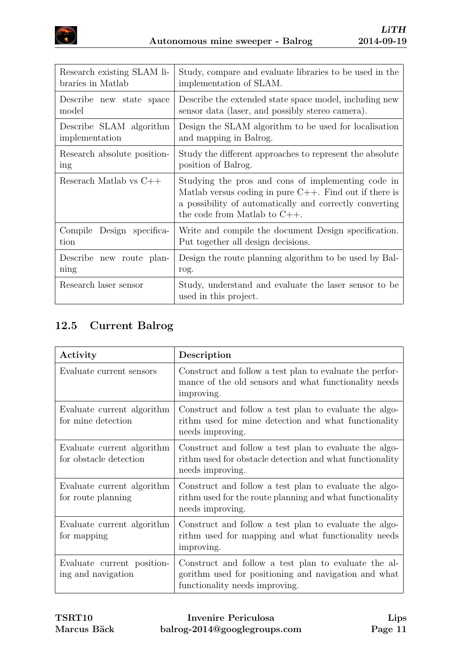

| Research existing SLAM li-  | Study, compare and evaluate libraries to be used in the                                                                                                                                                          |
|-----------------------------|------------------------------------------------------------------------------------------------------------------------------------------------------------------------------------------------------------------|
| braries in Matlab           | implementation of SLAM.                                                                                                                                                                                          |
| Describe new state space    | Describe the extended state space model, including new                                                                                                                                                           |
| model                       | sensor data (laser, and possibly stereo camera).                                                                                                                                                                 |
| Describe SLAM algorithm     | Design the SLAM algorithm to be used for localisation                                                                                                                                                            |
| implementation              | and mapping in Balrog.                                                                                                                                                                                           |
| Research absolute position- | Study the different approaches to represent the absolute                                                                                                                                                         |
| ing                         | position of Balrog.                                                                                                                                                                                              |
| Reserach Matlab vs $C++$    | Studying the pros and cons of implementing code in<br>Matlab versus coding in pure $C++$ . Find out if there is<br>a possibility of automatically and correctly converting<br>the code from Matlab to $C_{++}$ . |
| Compile Design specifica-   | Write and compile the document Design specification.                                                                                                                                                             |
| tion                        | Put together all design decisions.                                                                                                                                                                               |
| Describe new route plan-    | Design the route planning algorithm to be used by Bal-                                                                                                                                                           |
| ning                        | rog.                                                                                                                                                                                                             |
| Research laser sensor       | Study, understand and evaluate the laser sensor to be<br>used in this project.                                                                                                                                   |

# <span id="page-16-0"></span>12.5 Current Balrog

| Activity                                             | Description                                                                                                                                    |
|------------------------------------------------------|------------------------------------------------------------------------------------------------------------------------------------------------|
| Evaluate current sensors                             | Construct and follow a test plan to evaluate the perfor-<br>mance of the old sensors and what functionality needs<br>improving.                |
| Evaluate current algorithm<br>for mine detection     | Construct and follow a test plan to evaluate the algo-<br>rithm used for mine detection and what functionality<br>needs improving.             |
| Evaluate current algorithm<br>for obstacle detection | Construct and follow a test plan to evaluate the algo-<br>rithm used for obstacle detection and what functionality<br>needs improving.         |
| Evaluate current algorithm<br>for route planning     | Construct and follow a test plan to evaluate the algo-<br>rithm used for the route planning and what functionality<br>needs improving.         |
| Evaluate current algorithm<br>for mapping            | Construct and follow a test plan to evaluate the algo-<br>rithm used for mapping and what functionality needs<br>improving.                    |
| Evaluate current position-<br>ing and navigation     | Construct and follow a test plan to evaluate the al-<br>gorithm used for positioning and navigation and what<br>functionality needs improving. |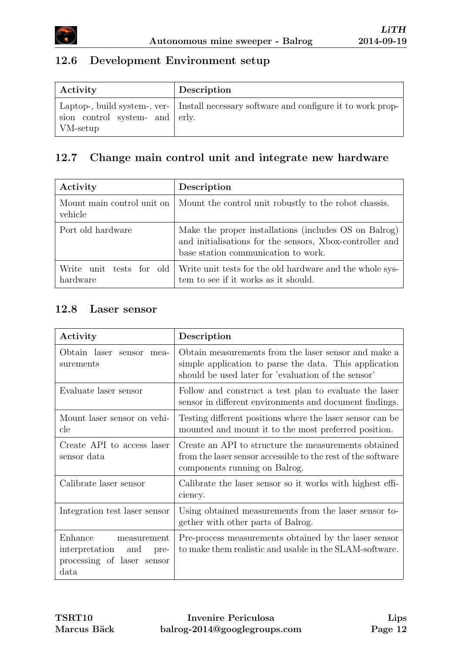

### <span id="page-17-0"></span>12.6 Development Environment setup

| Activity                                           | Description                                                                            |
|----------------------------------------------------|----------------------------------------------------------------------------------------|
| sion control system- and erly.<br>$\vert$ VM-setup | Laptop-, build system-, ver- Install necessary software and configure it to work prop- |

### <span id="page-17-1"></span>12.7 Change main control unit and integrate new hardware

| Activity                              | Description                                                                                                                                              |
|---------------------------------------|----------------------------------------------------------------------------------------------------------------------------------------------------------|
| Mount main control unit on<br>vehicle | Mount the control unit robustly to the robot chassis.                                                                                                    |
| Port old hardware                     | Make the proper installations (includes OS on Balrog)<br>and initialisations for the sensors, Xbox-controller and<br>base station communication to work. |
| Write unit tests for old<br>hardware  | Write unit tests for the old hardware and the whole sys-<br>tem to see if it works as it should.                                                         |

#### <span id="page-17-2"></span>12.8 Laser sensor

| Activity                                                                                   | Description                                                                                                                                                           |  |  |  |
|--------------------------------------------------------------------------------------------|-----------------------------------------------------------------------------------------------------------------------------------------------------------------------|--|--|--|
| Obtain laser sensor mea-<br>surements                                                      | Obtain measurements from the laser sensor and make a<br>simple application to parse the data. This application<br>should be used later for 'evaluation of the sensor' |  |  |  |
| Evaluate laser sensor                                                                      | Follow and construct a test plan to evaluate the laser<br>sensor in different environments and document findings.                                                     |  |  |  |
| Mount laser sensor on vehi-<br>$_{\rm cle}$                                                | Testing different positions where the laser sensor can be<br>mounted and mount it to the most preferred position.                                                     |  |  |  |
| Create API to access laser<br>sensor data                                                  | Create an API to structure the measurements obtained<br>from the laser sensor accessible to the rest of the software<br>components running on Balrog.                 |  |  |  |
| Calibrate laser sensor                                                                     | Calibrate the laser sensor so it works with highest effi-<br>ciency.                                                                                                  |  |  |  |
| Integration test laser sensor                                                              | Using obtained measurements from the laser sensor to-<br>gether with other parts of Balrog.                                                                           |  |  |  |
| Enhance<br>measurement<br>interpretation and<br>pre-<br>processing of laser sensor<br>data | Pre-process measurements obtained by the laser sensor<br>to make them realistic and usable in the SLAM-software.                                                      |  |  |  |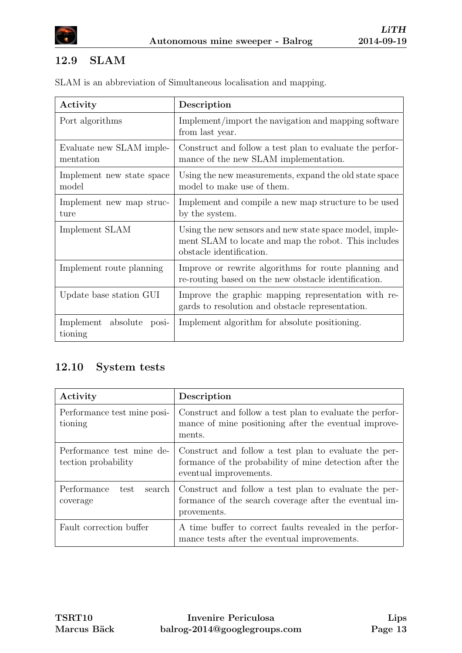

### <span id="page-18-0"></span>12.9 SLAM

|  |  | SLAM is an abbreviation of Simultaneous localisation and mapping. |  |  |  |  |  |
|--|--|-------------------------------------------------------------------|--|--|--|--|--|
|--|--|-------------------------------------------------------------------|--|--|--|--|--|

| Activity                               | Description                                                                                                                                 |  |  |  |  |
|----------------------------------------|---------------------------------------------------------------------------------------------------------------------------------------------|--|--|--|--|
| Port algorithms                        | Implement/import the navigation and mapping software<br>from last year.                                                                     |  |  |  |  |
| Evaluate new SLAM imple-<br>mentation  | Construct and follow a test plan to evaluate the perfor-<br>mance of the new SLAM implementation.                                           |  |  |  |  |
| Implement new state space<br>model     | Using the new measurements, expand the old state space<br>model to make use of them.                                                        |  |  |  |  |
| Implement new map struc-<br>ture       | Implement and compile a new map structure to be used<br>by the system.                                                                      |  |  |  |  |
| Implement SLAM                         | Using the new sensors and new state space model, imple-<br>ment SLAM to locate and map the robot. This includes<br>obstacle identification. |  |  |  |  |
| Implement route planning               | Improve or rewrite algorithms for route planning and<br>re-routing based on the new obstacle identification.                                |  |  |  |  |
| Update base station GUI                | Improve the graphic mapping representation with re-<br>gards to resolution and obstacle representation.                                     |  |  |  |  |
| Implement absolute<br>posi-<br>tioning | Implement algorithm for absolute positioning.                                                                                               |  |  |  |  |

### <span id="page-18-1"></span>12.10 System tests

| Activity                                         | Description                                                                                                                                |
|--------------------------------------------------|--------------------------------------------------------------------------------------------------------------------------------------------|
| Performance test mine posi-<br>tioning           | Construct and follow a test plan to evaluate the perfor-<br>mance of mine positioning after the eventual improve-<br>ments.                |
| Performance test mine de-<br>tection probability | Construct and follow a test plan to evaluate the per-<br>formance of the probability of mine detection after the<br>eventual improvements. |
| Performance<br>search<br>test<br>coverage        | Construct and follow a test plan to evaluate the per-<br>formance of the search coverage after the eventual im-<br>provements.             |
| Fault correction buffer                          | A time buffer to correct faults revealed in the perfor-<br>mance tests after the eventual improvements.                                    |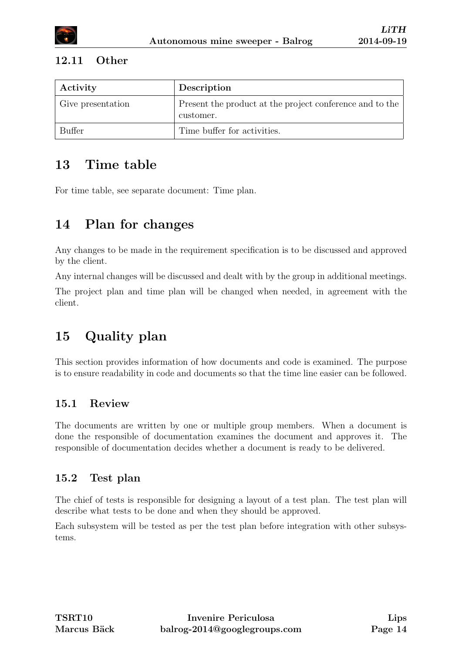#### <span id="page-19-0"></span>12.11 Other

| Activity          | Description                                                           |
|-------------------|-----------------------------------------------------------------------|
| Give presentation | Present the product at the project conference and to the<br>customer. |
| Buffer            | Time buffer for activities.                                           |

# <span id="page-19-1"></span>13 Time table

For time table, see separate document: Time plan.

# <span id="page-19-2"></span>14 Plan for changes

Any changes to be made in the requirement specification is to be discussed and approved by the client.

Any internal changes will be discussed and dealt with by the group in additional meetings.

The project plan and time plan will be changed when needed, in agreement with the client.

# <span id="page-19-3"></span>15 Quality plan

This section provides information of how documents and code is examined. The purpose is to ensure readability in code and documents so that the time line easier can be followed.

### <span id="page-19-4"></span>15.1 Review

The documents are written by one or multiple group members. When a document is done the responsible of documentation examines the document and approves it. The responsible of documentation decides whether a document is ready to be delivered.

### <span id="page-19-5"></span>15.2 Test plan

The chief of tests is responsible for designing a layout of a test plan. The test plan will describe what tests to be done and when they should be approved.

Each subsystem will be tested as per the test plan before integration with other subsystems.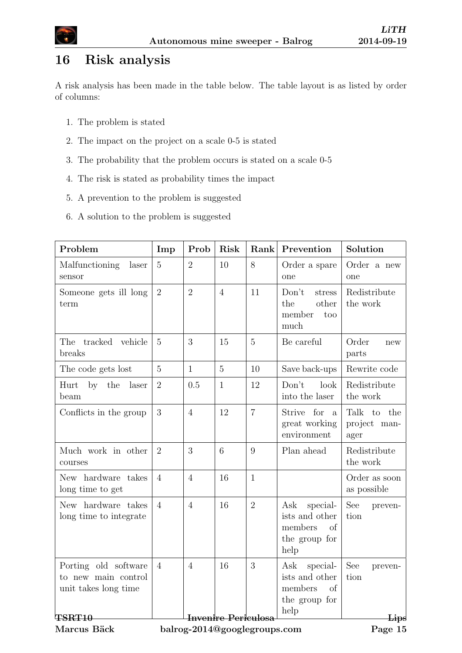

# <span id="page-20-0"></span>16 Risk analysis

A risk analysis has been made in the table below. The table layout is as listed by order of columns:

- 1. The problem is stated
- 2. The impact on the project on a scale 0-5 is stated
- 3. The probability that the problem occurs is stated on a scale 0-5
- 4. The risk is stated as probability times the impact
- 5. A prevention to the problem is suggested
- 6. A solution to the problem is suggested

| Problem                                                             | Imp                                         | Prob           | Risk           | Rank           | Prevention                                                                  | Solution                                  |  |
|---------------------------------------------------------------------|---------------------------------------------|----------------|----------------|----------------|-----------------------------------------------------------------------------|-------------------------------------------|--|
| Malfunctioning<br>laser<br>sensor                                   | $\overline{5}$                              | $\overline{2}$ | 10             | 8              | Order a spare<br>one                                                        | Order a new<br>one                        |  |
| Someone gets ill long<br>term                                       | $\overline{2}$                              | $\overline{2}$ | $\overline{4}$ | 11             | Don't<br>stress<br>the<br>other<br>member<br>too<br>much                    | Redistribute<br>the work                  |  |
| The tracked vehicle<br>breaks                                       | $\overline{5}$                              | 3              | 15             | $\overline{5}$ | Be careful                                                                  | Order<br>new<br>parts                     |  |
| The code gets lost                                                  | $\overline{5}$                              | $\mathbf{1}$   | $\overline{5}$ | 10             | Save back-ups                                                               | Rewrite code                              |  |
| $\mathbf{b}$ y<br>Hurt<br>the<br>laser<br>beam                      | $\overline{2}$                              | 0.5            | $\mathbf{1}$   | 12             | Don't<br>look<br>into the laser                                             | Redistribute<br>the work                  |  |
| Conflicts in the group                                              | 3                                           | $\overline{4}$ | 12             | $\overline{7}$ | Strive for<br>$\mathbf{a}$<br>great working<br>environment                  | Talk<br>to<br>the<br>project man-<br>ager |  |
| Much work in other<br>courses                                       | $\overline{2}$                              | 3              | 6              | 9              | Plan ahead                                                                  | Redistribute<br>the work                  |  |
| New hardware takes<br>long time to get                              | $\overline{4}$                              | $\overline{4}$ | 16             | $\mathbf{1}$   |                                                                             | Order as soon<br>as possible              |  |
| New hardware takes<br>long time to integrate                        | $\overline{4}$                              | $\overline{4}$ | 16             | $\overline{2}$ | Ask<br>special-<br>ists and other<br>members<br>of<br>the group for<br>help | See<br>preven-<br>tion                    |  |
| Porting old software<br>to new main control<br>unit takes long time | $\overline{4}$                              | $\overline{4}$ | 16             | 3              | Ask<br>special-<br>ists and other<br>members<br>of<br>the group for<br>help | See<br>preven-<br>tion                    |  |
| <b>TSRT10</b>                                                       | <b>Invenire Periculosa</b><br>$_{\rm Lips}$ |                |                |                |                                                                             |                                           |  |

Marcus Bäck

balrog-2014@googlegroups.com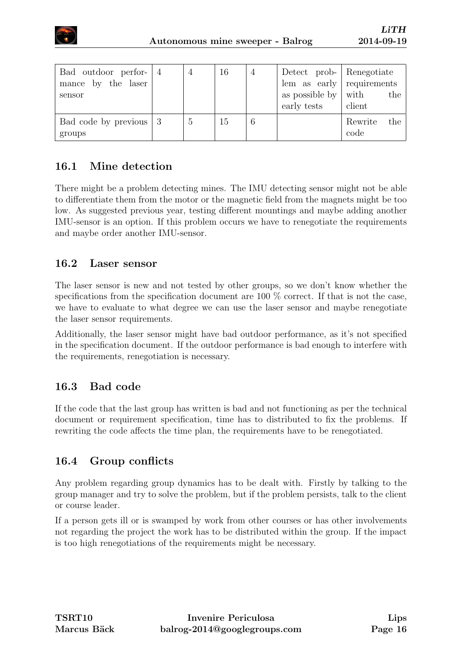

| Bad outdoor perfor- $ 4$<br>mance by the laser<br>sensor |                | 16 | $\overline{4}$ | Detect prob- Renegotiate<br>$\text{lem}$ as early requirements<br>as possible by $\vert$ with<br>early tests | the<br>client          |
|----------------------------------------------------------|----------------|----|----------------|--------------------------------------------------------------------------------------------------------------|------------------------|
| Bad code by previous $\vert 3 \rangle$<br>groups         | $\mathfrak{h}$ | 15 | 6              |                                                                                                              | Rewrite<br>the<br>code |

### <span id="page-21-0"></span>16.1 Mine detection

There might be a problem detecting mines. The IMU detecting sensor might not be able to differentiate them from the motor or the magnetic field from the magnets might be too low. As suggested previous year, testing different mountings and maybe adding another IMU-sensor is an option. If this problem occurs we have to renegotiate the requirements and maybe order another IMU-sensor.

#### <span id="page-21-1"></span>16.2 Laser sensor

The laser sensor is new and not tested by other groups, so we don't know whether the specifications from the specification document are 100  $\%$  correct. If that is not the case, we have to evaluate to what degree we can use the laser sensor and maybe renegotiate the laser sensor requirements.

Additionally, the laser sensor might have bad outdoor performance, as it's not specified in the specification document. If the outdoor performance is bad enough to interfere with the requirements, renegotiation is necessary.

### <span id="page-21-2"></span>16.3 Bad code

If the code that the last group has written is bad and not functioning as per the technical document or requirement specification, time has to distributed to fix the problems. If rewriting the code affects the time plan, the requirements have to be renegotiated.

### <span id="page-21-3"></span>16.4 Group conflicts

Any problem regarding group dynamics has to be dealt with. Firstly by talking to the group manager and try to solve the problem, but if the problem persists, talk to the client or course leader.

If a person gets ill or is swamped by work from other courses or has other involvements not regarding the project the work has to be distributed within the group. If the impact is too high renegotiations of the requirements might be necessary.